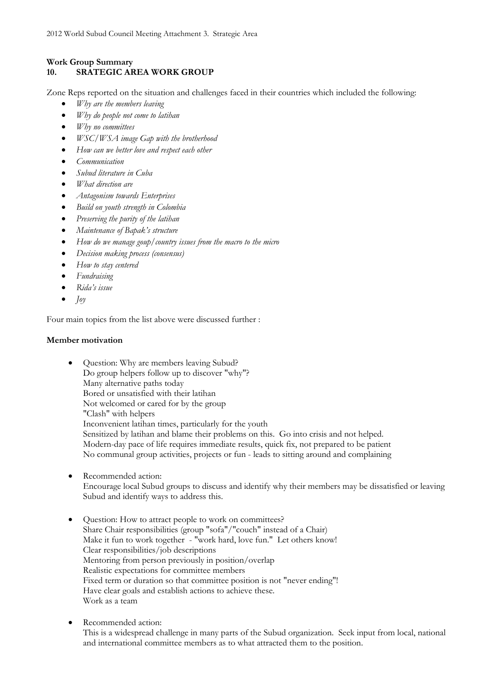## **Work Group Summary 10. SRATEGIC AREA WORK GROUP**

Zone Reps reported on the situation and challenges faced in their countries which included the following:

- *Why are the members leaving*
- *Why do people not come to latihan*
- *Why no committees*
- *WSC/WSA image Gap with the brotherhood*
- *How can we better love and respect each other*
- *Communication*
- *Subud literature in Cuba*
- *What direction are*
- *Antagonism towards Enterprises*
- *Build on youth strength in Colombia*
- *Preserving the purity of the latihan*
- *Maintenance of Bapak's structure*
- *How do we manage goup/country issues from the macro to the micro*
- *Decision making process (consensus)*
- *How to stay centered*
- *Fundraising*
- *Rida's issue*
- $\bullet$  *Joy*

Four main topics from the list above were discussed further :

## **Member motivation**

- Question: Why are members leaving Subud? Do group helpers follow up to discover "why"? Many alternative paths today Bored or unsatisfied with their latihan Not welcomed or cared for by the group "Clash" with helpers Inconvenient latihan times, particularly for the youth Sensitized by latihan and blame their problems on this. Go into crisis and not helped. Modern-day pace of life requires immediate results, quick fix, not prepared to be patient No communal group activities, projects or fun - leads to sitting around and complaining
- Recommended action: Encourage local Subud groups to discuss and identify why their members may be dissatisfied or leaving Subud and identify ways to address this.
- Question: How to attract people to work on committees? Share Chair responsibilities (group "sofa"/"couch" instead of a Chair) Make it fun to work together - "work hard, love fun." Let others know! Clear responsibilities/job descriptions Mentoring from person previously in position/overlap Realistic expectations for committee members Fixed term or duration so that committee position is not "never ending"! Have clear goals and establish actions to achieve these. Work as a team
- Recommended action: This is a widespread challenge in many parts of the Subud organization. Seek input from local, national and international committee members as to what attracted them to the position.